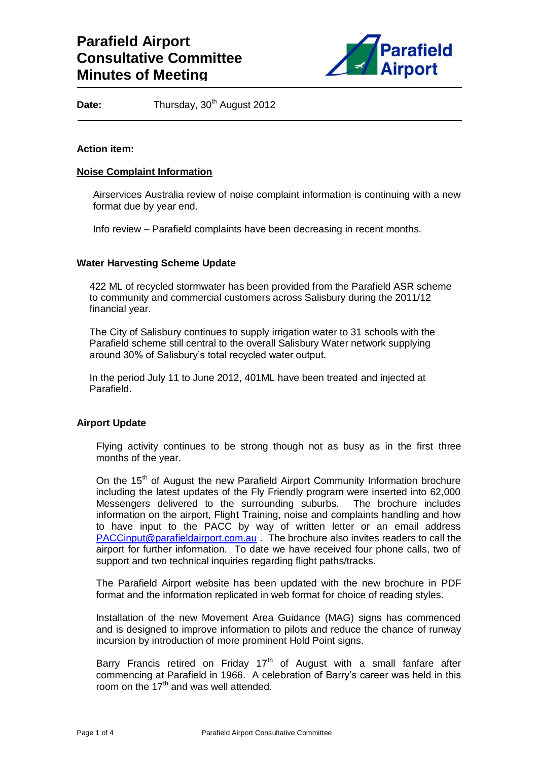

Date: Thursday, 30<sup>th</sup> August 2012

## **Action item:**

### **Noise Complaint Information**

Airservices Australia review of noise complaint information is continuing with a new format due by year end.

Info review – Parafield complaints have been decreasing in recent months.

## **Water Harvesting Scheme Update**

422 ML of recycled stormwater has been provided from the Parafield ASR scheme to community and commercial customers across Salisbury during the 2011/12 financial year.

The City of Salisbury continues to supply irrigation water to 31 schools with the Parafield scheme still central to the overall Salisbury Water network supplying around 30% of Salisbury's total recycled water output.

In the period July 11 to June 2012, 401ML have been treated and injected at Parafield.

# **Airport Update**

Flying activity continues to be strong though not as busy as in the first three months of the year.

On the 15<sup>th</sup> of August the new Parafield Airport Community Information brochure including the latest updates of the Fly Friendly program were inserted into 62,000 Messengers delivered to the surrounding suburbs. The brochure includes information on the airport, Flight Training, noise and complaints handling and how to have input to the PACC by way of written letter or an email address [PACCinput@parafieldairport.com.au](mailto:PACCinput@parafieldairport.com.au) . The brochure also invites readers to call the airport for further information. To date we have received four phone calls, two of support and two technical inquiries regarding flight paths/tracks.

The Parafield Airport website has been updated with the new brochure in PDF format and the information replicated in web format for choice of reading styles.

Installation of the new Movement Area Guidance (MAG) signs has commenced and is designed to improve information to pilots and reduce the chance of runway incursion by introduction of more prominent Hold Point signs.

Barry Francis retired on Friday  $17<sup>th</sup>$  of August with a small fanfare after commencing at Parafield in 1966. A celebration of Barry's career was held in this room on the  $17<sup>th</sup>$  and was well attended.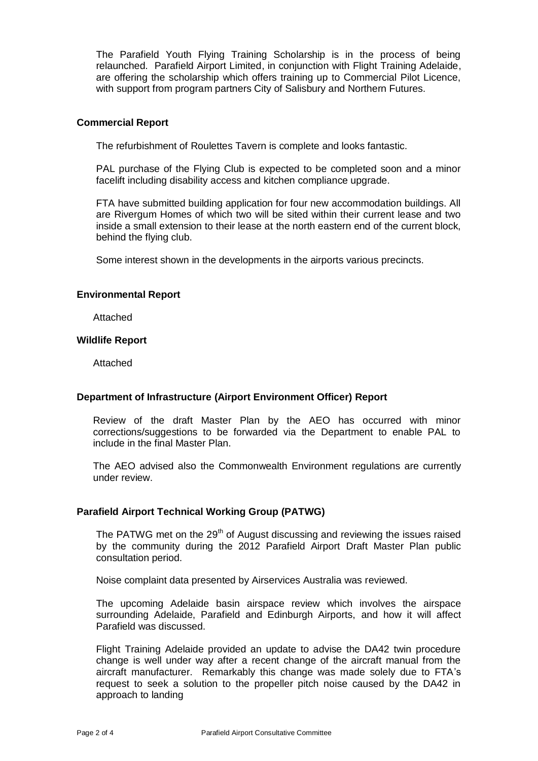The Parafield Youth Flying Training Scholarship is in the process of being relaunched. Parafield Airport Limited, in conjunction with Flight Training Adelaide, are offering the scholarship which offers training up to Commercial Pilot Licence, with support from program partners City of Salisbury and Northern Futures.

### **Commercial Report**

The refurbishment of Roulettes Tavern is complete and looks fantastic.

PAL purchase of the Flying Club is expected to be completed soon and a minor facelift including disability access and kitchen compliance upgrade.

FTA have submitted building application for four new accommodation buildings. All are Rivergum Homes of which two will be sited within their current lease and two inside a small extension to their lease at the north eastern end of the current block, behind the flying club.

Some interest shown in the developments in the airports various precincts.

## **Environmental Report**

Attached

## **Wildlife Report**

Attached

# **Department of Infrastructure (Airport Environment Officer) Report**

Review of the draft Master Plan by the AEO has occurred with minor corrections/suggestions to be forwarded via the Department to enable PAL to include in the final Master Plan.

The AEO advised also the Commonwealth Environment regulations are currently under review.

# **Parafield Airport Technical Working Group (PATWG)**

The PATWG met on the  $29<sup>th</sup>$  of August discussing and reviewing the issues raised by the community during the 2012 Parafield Airport Draft Master Plan public consultation period.

Noise complaint data presented by Airservices Australia was reviewed.

The upcoming Adelaide basin airspace review which involves the airspace surrounding Adelaide, Parafield and Edinburgh Airports, and how it will affect Parafield was discussed.

Flight Training Adelaide provided an update to advise the DA42 twin procedure change is well under way after a recent change of the aircraft manual from the aircraft manufacturer. Remarkably this change was made solely due to FTA's request to seek a solution to the propeller pitch noise caused by the DA42 in approach to landing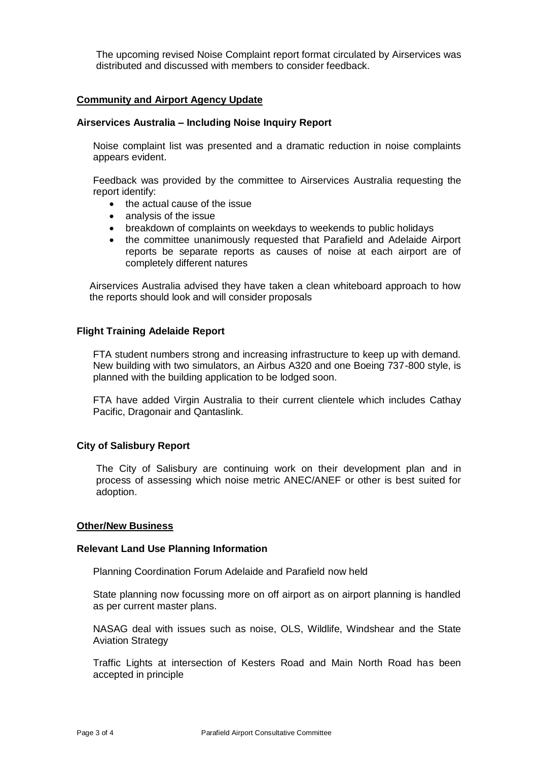The upcoming revised Noise Complaint report format circulated by Airservices was distributed and discussed with members to consider feedback.

## **Community and Airport Agency Update**

### **Airservices Australia – Including Noise Inquiry Report**

Noise complaint list was presented and a dramatic reduction in noise complaints appears evident.

Feedback was provided by the committee to Airservices Australia requesting the report identify:

- the actual cause of the issue
- analysis of the issue
- breakdown of complaints on weekdays to weekends to public holidays
- the committee unanimously requested that Parafield and Adelaide Airport reports be separate reports as causes of noise at each airport are of completely different natures

Airservices Australia advised they have taken a clean whiteboard approach to how the reports should look and will consider proposals

### **Flight Training Adelaide Report**

FTA student numbers strong and increasing infrastructure to keep up with demand. New building with two simulators, an Airbus A320 and one Boeing 737-800 style, is planned with the building application to be lodged soon.

FTA have added Virgin Australia to their current clientele which includes Cathay Pacific, Dragonair and Qantaslink.

### **City of Salisbury Report**

The City of Salisbury are continuing work on their development plan and in process of assessing which noise metric ANEC/ANEF or other is best suited for adoption.

### **Other/New Business**

### **Relevant Land Use Planning Information**

Planning Coordination Forum Adelaide and Parafield now held

State planning now focussing more on off airport as on airport planning is handled as per current master plans.

NASAG deal with issues such as noise, OLS, Wildlife, Windshear and the State Aviation Strategy

Traffic Lights at intersection of Kesters Road and Main North Road has been accepted in principle